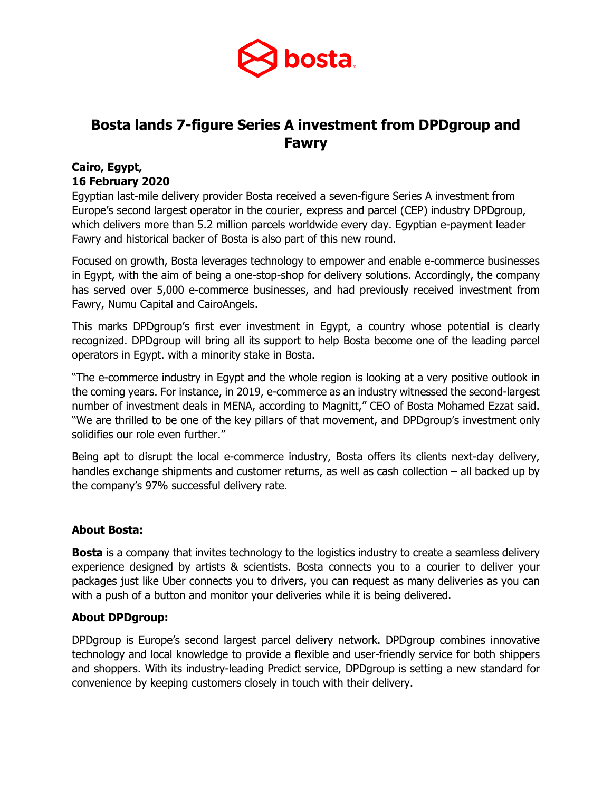

# **Bosta lands 7-figure Series A investment from DPDgroup and Fawry**

## **Cairo, Egypt, 16 February 2020**

Egyptian last-mile delivery provider Bosta received a seven-figure Series A investment from Europe's second largest operator in the courier, express and parcel (CEP) industry DPDgroup, which delivers more than 5.2 million parcels worldwide every day. Egyptian e-payment leader Fawry and historical backer of Bosta is also part of this new round.

Focused on growth, Bosta leverages technology to empower and enable e-commerce businesses in Egypt, with the aim of being a one-stop-shop for delivery solutions. Accordingly, the company has served over 5,000 e-commerce businesses, and had previously received investment from Fawry, Numu Capital and CairoAngels.

This marks DPDgroup's first ever investment in Egypt, a country whose potential is clearly recognized. DPDgroup will bring all its support to help Bosta become one of the leading parcel operators in Egypt. with a minority stake in Bosta.

"The e-commerce industry in Egypt and the whole region is looking at a very positive outlook in the coming years. For instance, in 2019, e-commerce as an industry witnessed the second-largest number of investment deals in MENA, according to Magnitt," CEO of Bosta Mohamed Ezzat said. "We are thrilled to be one of the key pillars of that movement, and DPDgroup's investment only solidifies our role even further."

Being apt to disrupt the local e-commerce industry, Bosta offers its clients next-day delivery, handles exchange shipments and customer returns, as well as cash collection – all backed up by the company's 97% successful delivery rate.

### **About Bosta:**

**Bosta** is a company that invites technology to the logistics industry to create a seamless delivery experience designed by artists & scientists. Bosta connects you to a courier to deliver your packages just like Uber connects you to drivers, you can request as many deliveries as you can with a push of a button and monitor your deliveries while it is being delivered.

### **About DPDgroup:**

DPDgroup is Europe's second largest parcel delivery network. DPDgroup combines innovative technology and local knowledge to provide a flexible and user-friendly service for both shippers and shoppers. With its industry-leading Predict service, DPDgroup is setting a new standard for convenience by keeping customers closely in touch with their delivery.